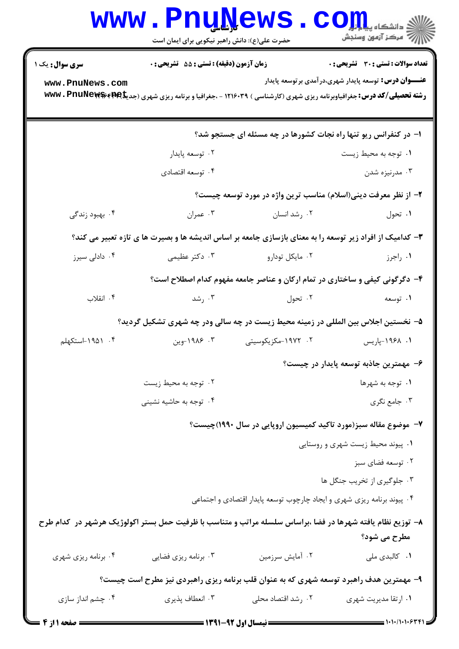|                                                                                                                            | <b>www.PnuNews</b><br>حضرت علی(ع): دانش راهبر نیکویی برای ایمان است |                                                                                                          | $\mathbf{C}\mathbf{O}$ $\mathbf{m}$<br>  /W مرکز آزمون وسنجش                                                                                                                                                                                                                                                             |  |
|----------------------------------------------------------------------------------------------------------------------------|---------------------------------------------------------------------|----------------------------------------------------------------------------------------------------------|--------------------------------------------------------------------------------------------------------------------------------------------------------------------------------------------------------------------------------------------------------------------------------------------------------------------------|--|
| <b>سری سوال :</b> یک ۱                                                                                                     | <b>زمان آزمون (دقیقه) : تستی : 55 تشریحی : 0</b>                    |                                                                                                          | تعداد سوالات : تستي : 30 ٪ تشريحي : 0                                                                                                                                                                                                                                                                                    |  |
| www.PnuNews.com                                                                                                            |                                                                     |                                                                                                          | <del>عنــــوان درس:</del> توسعه پایدار شهری،در آمدی بر توسعه پایدار<br><b>رشته تحصیلی/کد درس:</b> جغرافیاوبرنامه ریزی شهری (کارشناسی ) ۱۲۱۶۰۳۹ - ،جغرافیا و برنامه ریزی شهری (جدیکه <b>۱۹۴۱ ×۱۷۷۷ ت</b><br><b>سیس از مورد به این مورد به این مورد به این مورد به این مورد به این مورد به این مورد به این مورد به این</b> |  |
|                                                                                                                            |                                                                     |                                                                                                          |                                                                                                                                                                                                                                                                                                                          |  |
|                                                                                                                            |                                                                     | ۱– در کنفرانس ریو تنها راه نجات کشورها در چه مسئله ای جستجو شد؟                                          |                                                                                                                                                                                                                                                                                                                          |  |
|                                                                                                                            | ۰۲ توسعه پايدار                                                     |                                                                                                          | ۰۱ توجه به محیط زیست                                                                                                                                                                                                                                                                                                     |  |
|                                                                                                                            | ۰۴ توسعه اقتصادي                                                    |                                                                                                          | ۰۳ مدرنیزه شدن                                                                                                                                                                                                                                                                                                           |  |
|                                                                                                                            |                                                                     | ۲- از نظر معرفت دینی(اسلام) مناسب ترین واژه در مورد توسعه چیست؟                                          |                                                                                                                                                                                                                                                                                                                          |  |
| ۰۴ بهبود زندگی                                                                                                             | ۰۳ عمران                                                            | ۰۲ رشد انسان                                                                                             | ۰۱ تحول                                                                                                                                                                                                                                                                                                                  |  |
|                                                                                                                            |                                                                     | ۳- کدامیک از افراد زیر توسعه را به معنای بازسازی جامعه بر اساس اندیشه ها و بصیرت ها ی تازه تعبیر می کند؟ |                                                                                                                                                                                                                                                                                                                          |  |
| ۰۴ دادلی سیرز                                                                                                              | ۰۳ دکتر عظیمی                                                       | ۰۲ مایکل تودارو                                                                                          | ۰۱ راجرز                                                                                                                                                                                                                                                                                                                 |  |
|                                                                                                                            |                                                                     | ۴- دگرگونی کیفی و ساختاری در تمام ارکان و عناصر جامعه مفهوم کدام اصطلاح است؟                             |                                                                                                                                                                                                                                                                                                                          |  |
| ۰۴ انقلاب                                                                                                                  | ۰۳ رشد                                                              | ۰۲ تحول                                                                                                  | ۰۱ توسعه                                                                                                                                                                                                                                                                                                                 |  |
|                                                                                                                            |                                                                     | ۵– نخستین اجلاس بین المللی در زمینه محیط زیست در چه سالی ودر چه شهری تشکیل گردید؟                        |                                                                                                                                                                                                                                                                                                                          |  |
| ۰۴ ۱۹۵۱-استکهلم                                                                                                            | ۰۳ ۱۹۸۶-وین                                                         | ۰۲ - ۱۹۷۲-مکزیکوسیتی                                                                                     | ۰۱. ۱۹۶۸–پاریس                                                                                                                                                                                                                                                                                                           |  |
|                                                                                                                            |                                                                     |                                                                                                          | ۶– مهمترین جاذبه توسعه پایدار در چیست؟                                                                                                                                                                                                                                                                                   |  |
|                                                                                                                            | ۰۲ توجه به محیط زیست                                                |                                                                                                          | ۰۱ توجه به شهرها                                                                                                                                                                                                                                                                                                         |  |
|                                                                                                                            | ۴. توجه به حاشیه نشینی                                              |                                                                                                          | ۰۳ جامع نگري                                                                                                                                                                                                                                                                                                             |  |
|                                                                                                                            |                                                                     | ۷– موضوع مقاله سبز(مورد تاکید کمیسیون اروپایی در سال ۱۹۹۰)چیست؟                                          |                                                                                                                                                                                                                                                                                                                          |  |
|                                                                                                                            |                                                                     |                                                                                                          | ۰۱ پیوند محیط زیست شهری و روستایی                                                                                                                                                                                                                                                                                        |  |
|                                                                                                                            |                                                                     |                                                                                                          | ۰۲ توسعه فضای سبز                                                                                                                                                                                                                                                                                                        |  |
|                                                                                                                            |                                                                     |                                                                                                          | ۰۳ جلوگیری از تخریب جنگل ها                                                                                                                                                                                                                                                                                              |  |
|                                                                                                                            |                                                                     | ۰۴ پیوند برنامه ریزی شهری و ایجاد چارچوب توسعه پایدار اقتصادی و اجتماعی                                  |                                                                                                                                                                                                                                                                                                                          |  |
| ۸– توزیع نظام یافته شهرها در فضا ،براساس سلسله مراتب و متناسب با ظرفیت حمل بستر اکولوژیک هرشهر در کدام طرح<br>مطرح می شود؟ |                                                                     |                                                                                                          |                                                                                                                                                                                                                                                                                                                          |  |
| ۰۴ برنامه ریزی شهری                                                                                                        | ۰۳ برنامه ریزی فضایی                                                | ۰۲ آمایش سرزمین                                                                                          | ۰۱ کالبدی ملی                                                                                                                                                                                                                                                                                                            |  |
|                                                                                                                            |                                                                     | ۹- مهمترین هدف راهبرد توسعه شهری که به عنوان قلب برنامه ریزی راهبردی نیز مطرح است چیست؟                  |                                                                                                                                                                                                                                                                                                                          |  |
| ۰۴ چشم انداز سازی                                                                                                          | ۰۳ انعطاف پذیری                                                     | ۰۲ رشد اقتصاد محلی                                                                                       | ۰۱ ارتقا مدیریت شهری                                                                                                                                                                                                                                                                                                     |  |
|                                                                                                                            |                                                                     | $=$ 1404 av 1.4 m $\pm$ 2 $=$ 2005 $=$                                                                   | = 1010/10106441                                                                                                                                                                                                                                                                                                          |  |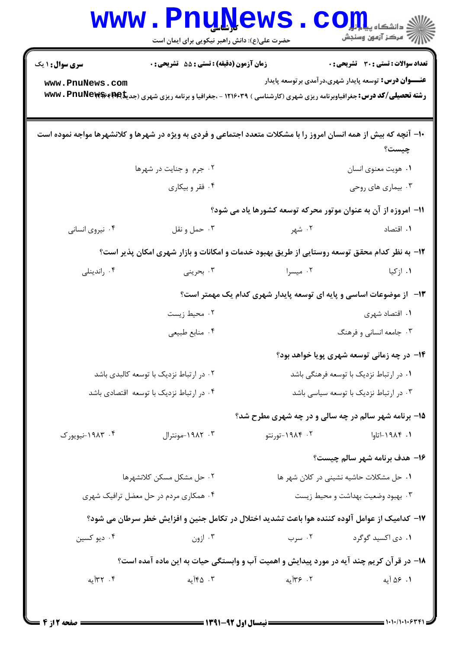|                                           | <b>Luñilema</b><br>حضرت علی(ع): دانش راهبر نیکویی برای ایمان است                                                                                                                             |                                                                     | ≦ دانشگاه پی <mark>ا ب</mark> ا ت <mark>و</mark><br>رُ⁄ مرڪز آزمون وسنڊش |  |
|-------------------------------------------|----------------------------------------------------------------------------------------------------------------------------------------------------------------------------------------------|---------------------------------------------------------------------|--------------------------------------------------------------------------|--|
| <b>سری سوال : ۱ یک</b><br>www.PnuNews.com | <b>زمان آزمون (دقیقه) : تستی : 55 تشریحی : 0</b><br><b>رشته تحصیلی/کد درس:</b> جغرافیاوبرنامه ریزی شهری (کارشناسی ) ۱۲۱۶۰۳۹ - ،جغرافیا و برنامه ریزی شهری (جدیکه <b>۱۹۹۶ ×۱۷۷۷ ، PnuNews</b> | <b>عنــــوان درس:</b> توسعه پایدار شهری،در آمدی بر توسعه پایدار     | <b>تعداد سوالات : تستی : 30 ٪ تشریحی : 0</b>                             |  |
|                                           | ۱۰- آنچه که بیش از همه انسان امروز را با مشکلات متعدد اجتماعی و فردی به ویژه در شهرها و کلانشهرها مواجه نموده است                                                                            |                                                                     | چیست؟                                                                    |  |
|                                           | ۰۲ جرم و جنایت در شهرها                                                                                                                                                                      |                                                                     | ٠١. هويت معنوي انسان                                                     |  |
|                                           | ۰۴ فقر و بیکاری                                                                                                                                                                              |                                                                     | ۰۳ بیماری های روحی                                                       |  |
|                                           |                                                                                                                                                                                              | 11- امروزه از آن به عنوان موتور محرکه توسعه کشورها یاد می شود؟      |                                                                          |  |
| ۰۴ نیروی انسانی                           | ۰۳ حمل و نقل                                                                                                                                                                                 | ۰۲ شهر                                                              | ۰۱ اقتصاد                                                                |  |
|                                           | ۱۲- به نظر کدام محقق توسعه روستایی از طریق بهبود خدمات و امکانات و بازار شهری امکان پذیر است؟                                                                                                |                                                                     |                                                                          |  |
| ۰۴ راندینلی                               | ۰۳ بحرینی                                                                                                                                                                                    | ۰۲ میسرا                                                            | ۰۱ ازکیا                                                                 |  |
|                                           |                                                                                                                                                                                              | ۱۳- از موضوعات اساسی و پایه ای توسعه پایدار شهری کدام یک مهمتر است؟ |                                                                          |  |
|                                           | ۰۲ محیط زیست                                                                                                                                                                                 |                                                                     | ۰۱ اقتصاد شهری                                                           |  |
|                                           | ۰۴ منابع طبيعي                                                                                                                                                                               |                                                                     | ۰۳ جامعه انسانی و فرهنگ                                                  |  |
|                                           |                                                                                                                                                                                              |                                                                     | ۱۴- در چه زمانی توسعه شهری پویا خواهد بود؟                               |  |
| ۰۲ در ارتباط نزدیک با توسعه کالبدی باشد   |                                                                                                                                                                                              |                                                                     | ۰۱ در ارتباط نزدیک با توسعه فرهنگی باشد                                  |  |
| ۰۴ در ارتباط نزدیک با توسعه اقتصادی باشد  |                                                                                                                                                                                              |                                                                     | ۰۳ در ارتباط نزدیک با توسعه سیاسی باشد                                   |  |
|                                           |                                                                                                                                                                                              | <b>۱۵- برنامه شهر سالم در چه سالی و در چه شهری مطرح شد؟</b>         |                                                                          |  |
| ۰۴ ۱۹۸۳-نیویورک                           | ۰۳ - ۱۹۸۲-مونترال                                                                                                                                                                            | ۰۲ - ۱۹۸۴-تورنتو                                                    | ۰۱ ۱۹۸۴–اتاوا                                                            |  |
|                                           |                                                                                                                                                                                              |                                                                     | ۱۶- هدف برنامه شهر سالم چیست؟                                            |  |
|                                           | ٠٢ حل مشكل مسكن كلانشهرها                                                                                                                                                                    | ٠١ حل مشكلات حاشيه نشيني در كلان شهر ها                             |                                                                          |  |
|                                           | ۰۴ همکاری مردم در حل معضل ترافیک شهری                                                                                                                                                        |                                                                     | ۰۳ بهبود وضعیت بهداشت و محیط زیست                                        |  |
|                                           | ۱۷– کدامیک از عوامل آلوده کننده هوا باعث تشدید اختلال در تکامل جنین و افزایش خطر سرطان می شود؟                                                                                               |                                                                     |                                                                          |  |
| ۰۴ دیو کسین                               | ۰۳ ازون                                                                                                                                                                                      | ۰۲ سرب                                                              | ۰۱ دی اکسید گوگرد                                                        |  |
|                                           | ۱۸− در قرآن کریم چند آیه در مورد پیدایش و اهمیت آب و وابستگی حیات به این ماده آمده است؟                                                                                                      |                                                                     |                                                                          |  |
| ۰۴ ۲۳۲ په                                 | ۰۳ ۱۴۵ آیه                                                                                                                                                                                   | ۲. ۳۶آیه                                                            | ۰۱ ۵۶ آیه                                                                |  |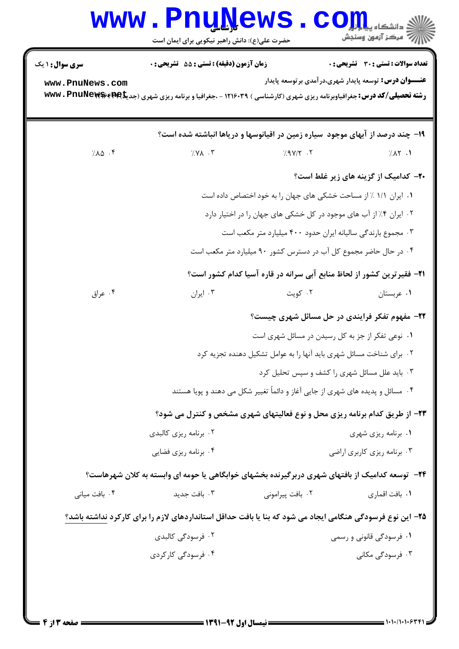| سری سوال : ۱ یک | زمان آزمون (دقیقه) : تستی : 55 تشریحی : 0                                                                                                |                                                                                | <b>تعداد سوالات : تستی : 30 ٪ تشریحی : 0</b> |
|-----------------|------------------------------------------------------------------------------------------------------------------------------------------|--------------------------------------------------------------------------------|----------------------------------------------|
| www.PnuNews.com | <b>رشته تحصیلی/کد درس:</b> جغرافیاوبرنامه ریزی شهری (کارشناسی ) ۱۲۱۶۰۳۹ - ،جغرافیا و برنامه ریزی شهری (جدیک <sup>ه</sup> ۷۹۶ ×۷۷۷۰ × www | <b>عنـــوان درس:</b> توسعه پایدار شهری،در آمدی بر توسعه پایدار                 |                                              |
|                 |                                                                                                                                          | ۱۹- چند درصد از آبهای موجود ًسیاره زمین در اقیانوسها و دریاها انباشته شده است؟ |                                              |
| $7.10$ .        | $7.71$ $.7$                                                                                                                              | $7.9V/Y$ .                                                                     | 7.1                                          |
|                 |                                                                                                                                          |                                                                                | <b>۲۰</b> - کدامیک از گزینه های زیر غلط است؟ |
|                 | ۰۱ ایران ۱/۱ ٪ از مساحت خشکی های جهان را به خود اختصاص داده است                                                                          |                                                                                |                                              |
|                 | ۰۲ ایران ۴٪ از آب های موجود در کل خشکی های جهان را در اختیار دارد                                                                        |                                                                                |                                              |
|                 | ۰۳ مجموع بارندگی سالیانه ایران حدود ۴۰۰ میلیارد متر مکعب است                                                                             |                                                                                |                                              |
|                 | ۰۴ در حال حاضر مجموع کل آب در دسترس کشور ۹۰ میلیارد متر مکعب است                                                                         |                                                                                |                                              |
|                 |                                                                                                                                          | <b>۲۱</b> - فقیرترین کشور از لحاظ منابع آبی سرانه در قاره آسیا کدام کشور است؟  |                                              |
| ۰۴ عراق         | ۰۳ ایران                                                                                                                                 | ۰۲ کویت                                                                        | ۰۱ عربستان                                   |
|                 |                                                                                                                                          | ۲۲- مفهوم تفکر فرایندی در حل مسائل شهری چیست؟                                  |                                              |
|                 | ۰۱ نوعی تفکر از جز به کل رسیدن در مسائل شهری است                                                                                         |                                                                                |                                              |
|                 | ۲. برای شناخت مسائل شهری باید آنها را به عوامل تشکیل دهنده تجزیه کرد                                                                     |                                                                                |                                              |
|                 | ۰۳ باید علل مسائل شهری را کشف و سپس تحلیل کرد                                                                                            |                                                                                |                                              |
|                 |                                                                                                                                          | ۰۴ مسائل و پدیده های شهری از جایی آغاز و دائماً تغییر شکل می دهند و پویا هستند |                                              |
|                 |                                                                                                                                          | ۲۳- از طریق کدام برنامه ریزی محل و نوع فعالیتهای شهری مشخص و کنترل می شود؟     |                                              |
|                 | ۰۲ برنامه ریزی کالبدی                                                                                                                    |                                                                                | ۰۱ برنامه ریزی شهری                          |
|                 | ۰۴ برنامه ریزی فضایی                                                                                                                     |                                                                                | ۰۳ برنامه ریزی کاربری اراضی                  |
|                 | ۲۴−   توسعه کدامیک از بافتهای شهری دربرگیرنده بخشهای خوابگاهی یا حومه ای وابسته به کلان شهرهاست؟                                         |                                                                                |                                              |
| ۰۴ بافت میانی   | ۰۳ بافت جدید                                                                                                                             | ۰۲ بافت پیرامونی                                                               | ٠١. بافت اقماري                              |
|                 | ۲۵– این نوع فرسودگی هنگامی ایجاد می شود که بنا یا بافت حداقل استانداردهای لازم را برای کارکرد نداشته باشد؟                               |                                                                                |                                              |
|                 | ۰۲ فرسودگی کالبدی                                                                                                                        |                                                                                | ۰۱ فرسودگی قانونی و رسمی                     |
|                 | ۰۴ فرسودگی کارکردی                                                                                                                       |                                                                                | ۰۳ فرسودگی مکانی                             |